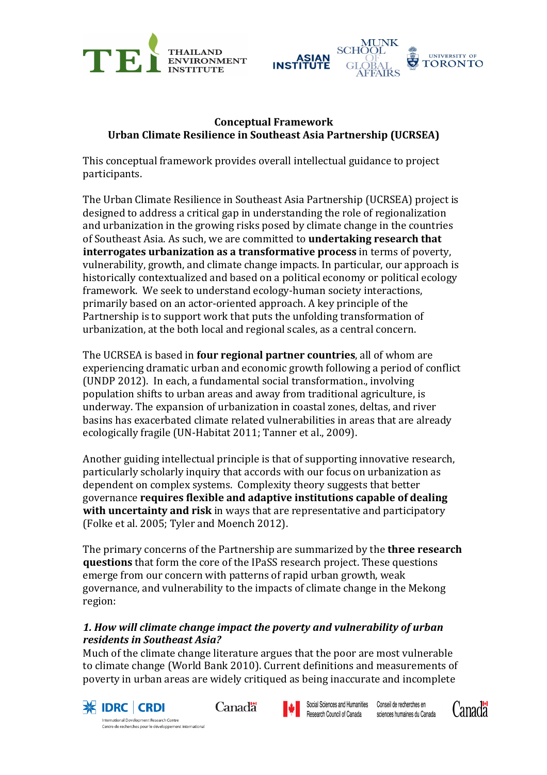



## **Conceptual Framework Urban Climate Resilience in Southeast Asia Partnership (UCRSEA)**

This conceptual framework provides overall intellectual guidance to project participants. 

The Urban Climate Resilience in Southeast Asia Partnership (UCRSEA) project is designed to address a critical gap in understanding the role of regionalization and urbanization in the growing risks posed by climate change in the countries of Southeast Asia. As such, we are committed to **undertaking research that interrogates urbanization as a transformative process** in terms of poverty, vulnerability, growth, and climate change impacts. In particular, our approach is historically contextualized and based on a political economy or political ecology framework. We seek to understand ecology-human society interactions, primarily based on an actor-oriented approach. A key principle of the Partnership is to support work that puts the unfolding transformation of urbanization, at the both local and regional scales, as a central concern.

The UCRSEA is based in **four regional partner countries**, all of whom are experiencing dramatic urban and economic growth following a period of conflict (UNDP 2012). In each, a fundamental social transformation., involving population shifts to urban areas and away from traditional agriculture, is underway. The expansion of urbanization in coastal zones, deltas, and river basins has exacerbated climate related vulnerabilities in areas that are already ecologically fragile (UN-Habitat 2011; Tanner et al., 2009).

Another guiding intellectual principle is that of supporting innovative research, particularly scholarly inquiry that accords with our focus on urbanization as dependent on complex systems. Complexity theory suggests that better governance **requires flexible and adaptive institutions capable of dealing with uncertainty and risk** in ways that are representative and participatory (Folke et al. 2005; Tyler and Moench 2012).

The primary concerns of the Partnership are summarized by the **three research questions** that form the core of the IPaSS research project. These questions emerge from our concern with patterns of rapid urban growth, weak governance, and vulnerability to the impacts of climate change in the Mekong region: 

## 1. How will climate change impact the poverty and vulnerability of urban *residents in Southeast Asia?*

Much of the climate change literature argues that the poor are most vulnerable to climate change (World Bank 2010). Current definitions and measurements of poverty in urban areas are widely critiqued as being inaccurate and incomplete



Centre de recherches pour le développement international

Canadä



Social Sciences and Humanities Conseil de recherches en Research Council of Canada sciences humaines du Canada

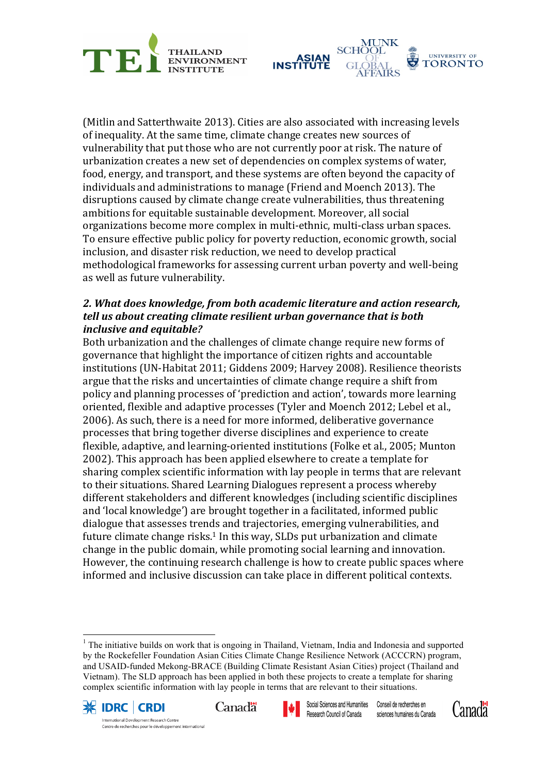



(Mitlin and Satterthwaite 2013). Cities are also associated with increasing levels of inequality. At the same time, climate change creates new sources of vulnerability that put those who are not currently poor at risk. The nature of urbanization creates a new set of dependencies on complex systems of water, food, energy, and transport, and these systems are often beyond the capacity of individuals and administrations to manage (Friend and Moench 2013). The disruptions caused by climate change create vulnerabilities, thus threatening ambitions for equitable sustainable development. Moreover, all social organizations become more complex in multi-ethnic, multi-class urban spaces. To ensure effective public policy for poverty reduction, economic growth, social inclusion, and disaster risk reduction, we need to develop practical methodological frameworks for assessing current urban poverty and well-being as well as future vulnerability.

## 2. What does knowledge, from both academic literature and action research, *tell us about creating climate resilient urban governance that is both inclusive and equitable?*

Both urbanization and the challenges of climate change require new forms of governance that highlight the importance of citizen rights and accountable institutions (UN-Habitat 2011; Giddens 2009; Harvey 2008). Resilience theorists argue that the risks and uncertainties of climate change require a shift from policy and planning processes of 'prediction and action', towards more learning oriented, flexible and adaptive processes (Tyler and Moench 2012; Lebel et al., 2006). As such, there is a need for more informed, deliberative governance processes that bring together diverse disciplines and experience to create flexible, adaptive, and learning-oriented institutions (Folke et al., 2005; Munton 2002). This approach has been applied elsewhere to create a template for sharing complex scientific information with lay people in terms that are relevant to their situations. Shared Learning Dialogues represent a process whereby different stakeholders and different knowledges (including scientific disciplines and 'local knowledge') are brought together in a facilitated, informed public dialogue that assesses trends and trajectories, emerging vulnerabilities, and future climate change risks.<sup>1</sup> In this way, SLDs put urbanization and climate change in the public domain, while promoting social learning and innovation. However, the continuing research challenge is how to create public spaces where informed and inclusive discussion can take place in different political contexts.

 $<sup>1</sup>$  The initiative builds on work that is ongoing in Thailand, Vietnam, India and Indonesia and supported</sup> by the Rockefeller Foundation Asian Cities Climate Change Resilience Network (ACCCRN) program, and USAID-funded Mekong-BRACE (Building Climate Resistant Asian Cities) project (Thailand and Vietnam). The SLD approach has been applied in both these projects to create a template for sharing complex scientific information with lay people in terms that are relevant to their situations.



Centre de recherches pour le développement international





Social Sciences and Humanities Research Council of Canada

Conseil de recherches en sciences humaines du Canada